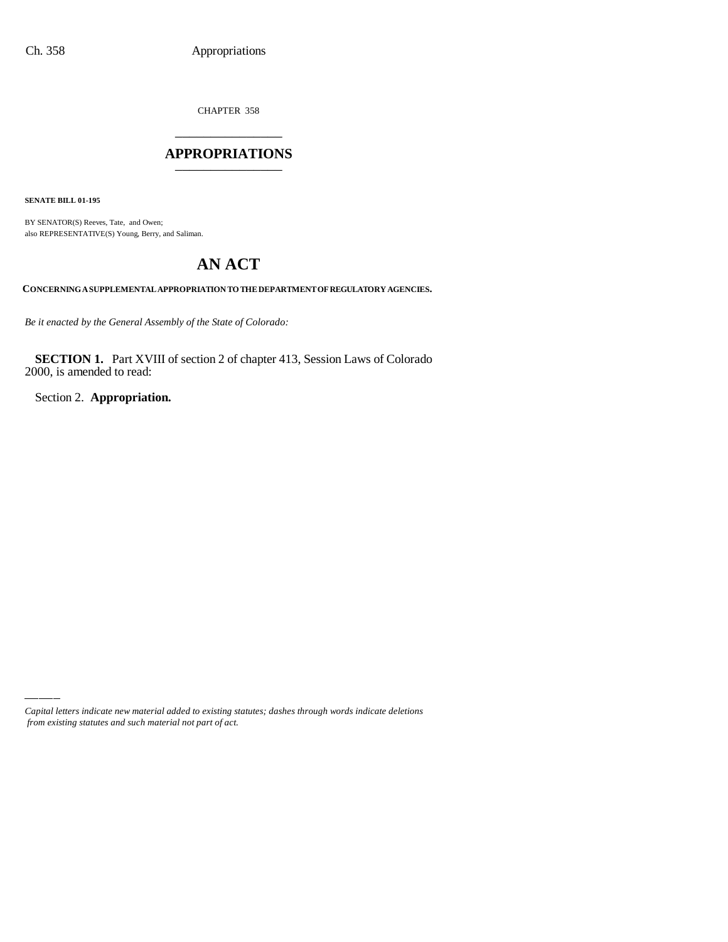CHAPTER 358 \_\_\_\_\_\_\_\_\_\_\_\_\_\_\_

#### **APPROPRIATIONS** \_\_\_\_\_\_\_\_\_\_\_\_\_\_\_

**SENATE BILL 01-195**

BY SENATOR(S) Reeves, Tate, and Owen; also REPRESENTATIVE(S) Young, Berry, and Saliman.

# **AN ACT**

**CONCERNING A SUPPLEMENTAL APPROPRIATION TO THE DEPARTMENT OF REGULATORY AGENCIES.**

*Be it enacted by the General Assembly of the State of Colorado:*

**SECTION 1.** Part XVIII of section 2 of chapter 413, Session Laws of Colorado 2000, is amended to read:

Section 2. **Appropriation.**

*Capital letters indicate new material added to existing statutes; dashes through words indicate deletions from existing statutes and such material not part of act.*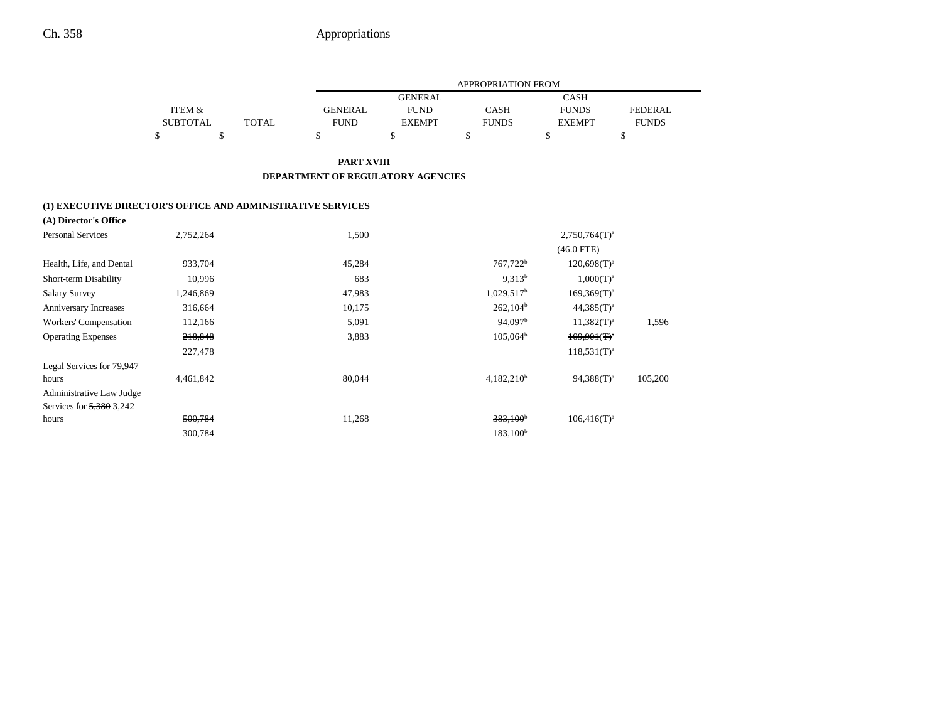|                                                             |                   |              | APPROPRIATION FROM                |                |                          |                  |                |  |
|-------------------------------------------------------------|-------------------|--------------|-----------------------------------|----------------|--------------------------|------------------|----------------|--|
|                                                             |                   |              |                                   | <b>GENERAL</b> |                          | <b>CASH</b>      |                |  |
|                                                             | <b>ITEM &amp;</b> |              | <b>GENERAL</b>                    | <b>FUND</b>    | <b>CASH</b>              | <b>FUNDS</b>     | <b>FEDERAL</b> |  |
|                                                             | <b>SUBTOTAL</b>   | <b>TOTAL</b> | <b>FUND</b>                       | <b>EXEMPT</b>  | <b>FUNDS</b>             | <b>EXEMPT</b>    | <b>FUNDS</b>   |  |
|                                                             | \$<br>\$          |              | \$                                | \$             | \$                       | \$               | \$             |  |
|                                                             |                   |              | <b>PART XVIII</b>                 |                |                          |                  |                |  |
|                                                             |                   |              | DEPARTMENT OF REGULATORY AGENCIES |                |                          |                  |                |  |
| (1) EXECUTIVE DIRECTOR'S OFFICE AND ADMINISTRATIVE SERVICES |                   |              |                                   |                |                          |                  |                |  |
| (A) Director's Office                                       |                   |              |                                   |                |                          |                  |                |  |
| <b>Personal Services</b>                                    | 2,752,264         |              | 1,500                             |                |                          | $2,750,764(T)^a$ |                |  |
|                                                             |                   |              |                                   |                |                          | $(46.0$ FTE)     |                |  |
| Health, Life, and Dental                                    | 933,704           |              | 45,284                            |                | 767,722 <sup>b</sup>     | $120,698(T)^a$   |                |  |
| Short-term Disability                                       | 10,996            |              | 683                               |                | $9,313^{b}$              | $1,000(T)^{a}$   |                |  |
| <b>Salary Survey</b>                                        | 1,246,869         |              | 47,983                            |                | $1,029,517$ <sup>b</sup> | $169,369(T)^a$   |                |  |
| Anniversary Increases                                       | 316,664           |              | 10,175                            |                | $262,104^b$              | $44,385(T)^{a}$  |                |  |
| Workers' Compensation                                       | 112,166           |              | 5,091                             |                | 94,097 <sup>b</sup>      | $11,382(T)^{a}$  | 1,596          |  |
| <b>Operating Expenses</b>                                   | 218,848           |              | 3,883                             |                | $105,064^{\rm b}$        | $109.901(T)^{a}$ |                |  |
|                                                             | 227,478           |              |                                   |                |                          | $118,531(T)^{a}$ |                |  |
| Legal Services for 79,947                                   |                   |              |                                   |                |                          |                  |                |  |
| hours                                                       | 4,461,842         |              | 80,044                            |                | $4,182,210^b$            | $94,388(T)^a$    | 105,200        |  |
| Administrative Law Judge                                    |                   |              |                                   |                |                          |                  |                |  |
| Services for 5,380 3,242                                    |                   |              |                                   |                |                          |                  |                |  |
| hours                                                       | 500,784           |              | 11,268                            |                | $383,100^{\circ}$        | $106,416(T)^a$   |                |  |
|                                                             | 300,784           |              |                                   |                | 183,100 <sup>b</sup>     |                  |                |  |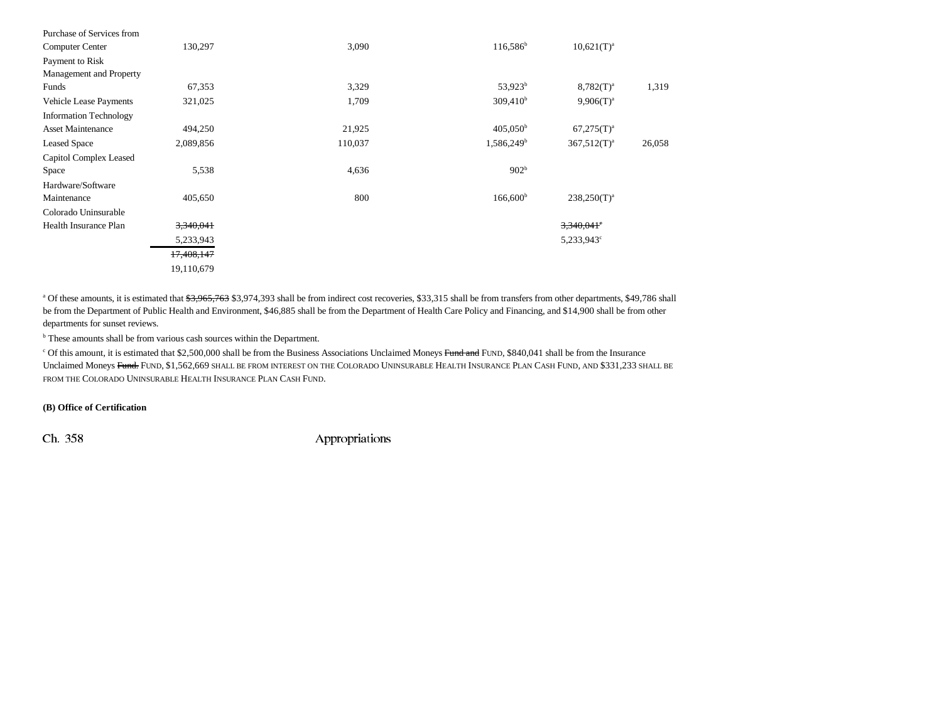| Purchase of Services from     |            |         |                      |                  |        |
|-------------------------------|------------|---------|----------------------|------------------|--------|
| Computer Center               | 130,297    | 3,090   | $116,586^{\rm b}$    | $10,621(T)^a$    |        |
| Payment to Risk               |            |         |                      |                  |        |
| Management and Property       |            |         |                      |                  |        |
| Funds                         | 67,353     | 3,329   | $53,923^b$           | $8,782(T)^a$     | 1,319  |
| <b>Vehicle Lease Payments</b> | 321,025    | 1,709   | 309,410 <sup>b</sup> | $9.906(T)^{a}$   |        |
| <b>Information Technology</b> |            |         |                      |                  |        |
| <b>Asset Maintenance</b>      | 494,250    | 21,925  | $405,050^{\rm b}$    | $67,275(T)^a$    |        |
| <b>Leased Space</b>           | 2,089,856  | 110,037 | $1,586,249^b$        | $367,512(T)^a$   | 26,058 |
| Capitol Complex Leased        |            |         |                      |                  |        |
| Space                         | 5,538      | 4,636   | 902 <sup>b</sup>     |                  |        |
| Hardware/Software             |            |         |                      |                  |        |
| Maintenance                   | 405,650    | 800     | $166,600^{\rm b}$    | $238,250(T)^{a}$ |        |
| Colorado Uninsurable          |            |         |                      |                  |        |
| Health Insurance Plan         | 3,340,041  |         |                      | $3,340,041$ °    |        |
|                               | 5,233,943  |         |                      | 5,233,943°       |        |
|                               | 17,408,147 |         |                      |                  |        |
|                               | 19,110,679 |         |                      |                  |        |

<sup>a</sup> Of these amounts, it is estimated that  $\frac{43,965,763}{33,974,393}$  shall be from indirect cost recoveries, \$33,315 shall be from transfers from other departments, \$49,786 shall be from the Department of Public Health and Environment, \$46,885 shall be from the Department of Health Care Policy and Financing, and \$14,900 shall be from other departments for sunset reviews.

<sup>b</sup> These amounts shall be from various cash sources within the Department.

 $\degree$  Of this amount, it is estimated that \$2,500,000 shall be from the Business Associations Unclaimed Moneys Fund and FUND, \$840,041 shall be from the Insurance Unclaimed Moneys <del>Fund.</del> Fund, \$1,562,669 shall be from interest on the Colorado Uninsurable Health Insurance Plan Cash Fund, and \$331,233 shall be FROM THE COLORADO UNINSURABLE HEALTH INSURANCE PLAN CASH FUND.

#### **(B) Office of Certification**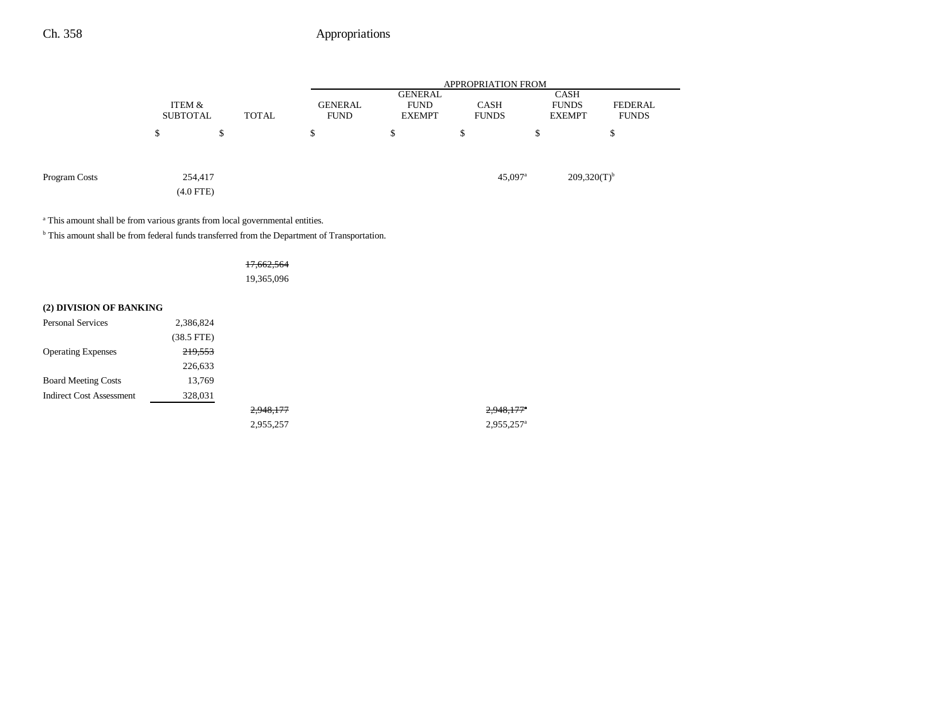|               |                           | <b>APPROPRIATION FROM</b> |       |                               |                                                |                             |    |                                              |                         |  |
|---------------|---------------------------|---------------------------|-------|-------------------------------|------------------------------------------------|-----------------------------|----|----------------------------------------------|-------------------------|--|
|               | ITEM &<br><b>SUBTOTAL</b> |                           | TOTAL | <b>GENERAL</b><br><b>FUND</b> | <b>GENERAL</b><br><b>FUND</b><br><b>EXEMPT</b> | <b>CASH</b><br><b>FUNDS</b> |    | <b>CASH</b><br><b>FUNDS</b><br><b>EXEMPT</b> | FEDERAL<br><b>FUNDS</b> |  |
|               | \$                        | \$                        |       | \$                            | \$                                             | \$                          | \$ |                                              | \$                      |  |
| Program Costs |                           | 254,417<br>$(4.0$ FTE $)$ |       |                               |                                                | $45,097$ <sup>a</sup>       |    | $209,320(T)^{b}$                             |                         |  |

<sup>a</sup> This amount shall be from various grants from local governmental entities.

 $^{\rm b}$  This amount shall be from federal funds transferred from the Department of Transportation.

### 17,662,564

19,365,096

### **(2) DIVISION OF BANKING**

| <b>Personal Services</b>        | 2,386,824  |           |                          |
|---------------------------------|------------|-----------|--------------------------|
|                                 | (38.5 FTE) |           |                          |
| <b>Operating Expenses</b>       | 219,553    |           |                          |
|                                 | 226,633    |           |                          |
| <b>Board Meeting Costs</b>      | 13,769     |           |                          |
| <b>Indirect Cost Assessment</b> | 328,031    |           |                          |
|                                 |            | 2,948,177 | 2,948,177                |
|                                 |            | 2.955.257 | $2.955.257$ <sup>a</sup> |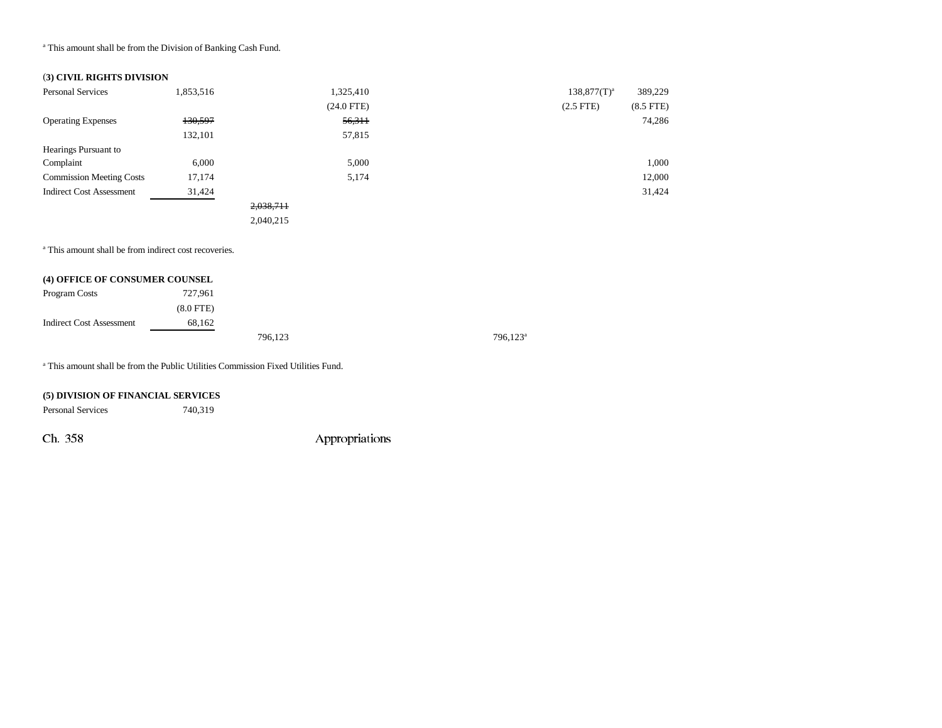<sup>a</sup> This amount shall be from the Division of Banking Cash Fund.

#### (**3) CIVIL RIGHTS DIVISION**

| <b>Personal Services</b>        | 1,853,516 |           | 1,325,410    | $138,877(T)^{a}$ | 389,229     |
|---------------------------------|-----------|-----------|--------------|------------------|-------------|
|                                 |           |           | $(24.0$ FTE) | $(2.5$ FTE)      | $(8.5$ FTE) |
| <b>Operating Expenses</b>       | 130,597   |           | 56,311       |                  | 74,286      |
|                                 | 132,101   |           | 57,815       |                  |             |
| Hearings Pursuant to            |           |           |              |                  |             |
| Complaint                       | 6,000     |           | 5,000        |                  | 1,000       |
| <b>Commission Meeting Costs</b> | 17,174    |           | 5,174        |                  | 12,000      |
| <b>Indirect Cost Assessment</b> | 31,424    |           |              |                  | 31,424      |
|                                 |           | 2,038,711 |              |                  |             |
|                                 |           | 2,040,215 |              |                  |             |

<sup>a</sup> This amount shall be from indirect cost recoveries.

| (4) OFFICE OF CONSUMER COUNSEL |             |         |  |
|--------------------------------|-------------|---------|--|
| Program Costs                  | 727.961     |         |  |
|                                | $(8.0$ FTE) |         |  |
| Indirect Cost Assessment       | 68,162      |         |  |
|                                |             | 796,123 |  |

a This amount shall be from the Public Utilities Commission Fixed Utilities Fund.

### **(5) DIVISION OF FINANCIAL SERVICES**

Personal Services 740,319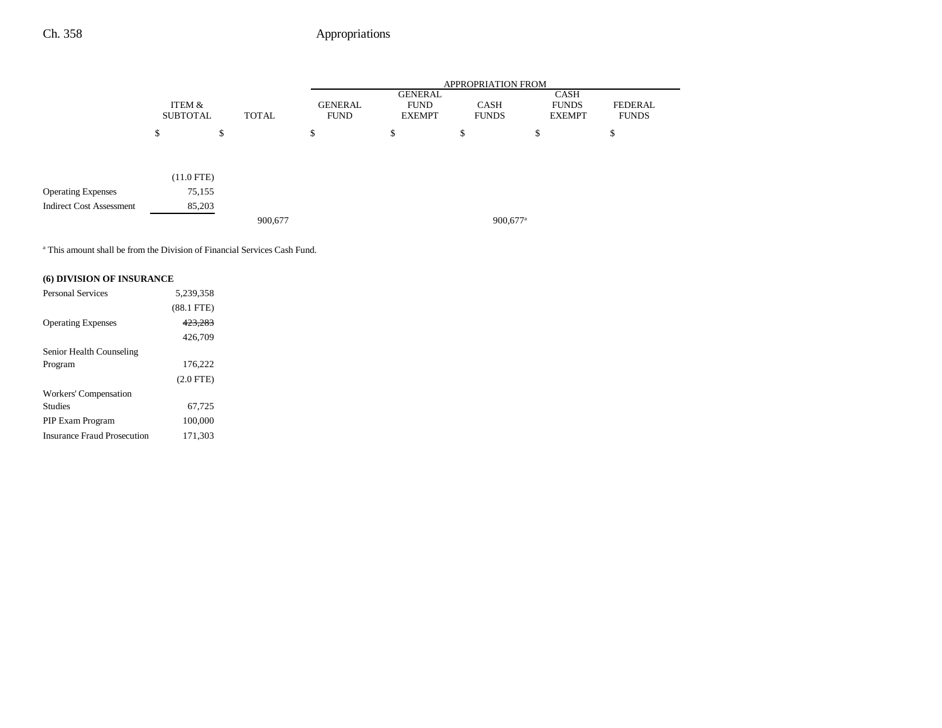|                                 |                           |              | <b>APPROPRIATION FROM</b>     |                                         |                      |                                       |                         |  |
|---------------------------------|---------------------------|--------------|-------------------------------|-----------------------------------------|----------------------|---------------------------------------|-------------------------|--|
|                                 | ITEM &<br><b>SUBTOTAL</b> | <b>TOTAL</b> | <b>GENERAL</b><br><b>FUND</b> | GENERAL<br><b>FUND</b><br><b>EXEMPT</b> | CASH<br><b>FUNDS</b> | CASH<br><b>FUNDS</b><br><b>EXEMPT</b> | FEDERAL<br><b>FUNDS</b> |  |
|                                 | ¢<br>D                    | \$           | ¢<br>Φ                        | \$                                      | \$                   | ¢<br>Ф                                | \$                      |  |
|                                 |                           |              |                               |                                         |                      |                                       |                         |  |
|                                 | $(11.0$ FTE)              |              |                               |                                         |                      |                                       |                         |  |
| <b>Operating Expenses</b>       | 75,155                    |              |                               |                                         |                      |                                       |                         |  |
| <b>Indirect Cost Assessment</b> | 85,203                    |              |                               |                                         |                      |                                       |                         |  |
|                                 |                           | 900,677      |                               |                                         | 900,677 <sup>a</sup> |                                       |                         |  |

a This amount shall be from the Division of Financial Services Cash Fund.

### **(6) DIVISION OF INSURANCE**

| <b>Personal Services</b>           | 5.239.358    |
|------------------------------------|--------------|
|                                    | $(88.1$ FTE) |
| <b>Operating Expenses</b>          | 423.283      |
|                                    | 426.709      |
| Senior Health Counseling           |              |
| Program                            | 176.222      |
|                                    | $(2.0$ FTE)  |
| Workers' Compensation              |              |
| <b>Studies</b>                     | 67,725       |
| PIP Exam Program                   | 100,000      |
| <b>Insurance Fraud Prosecution</b> | 171.303      |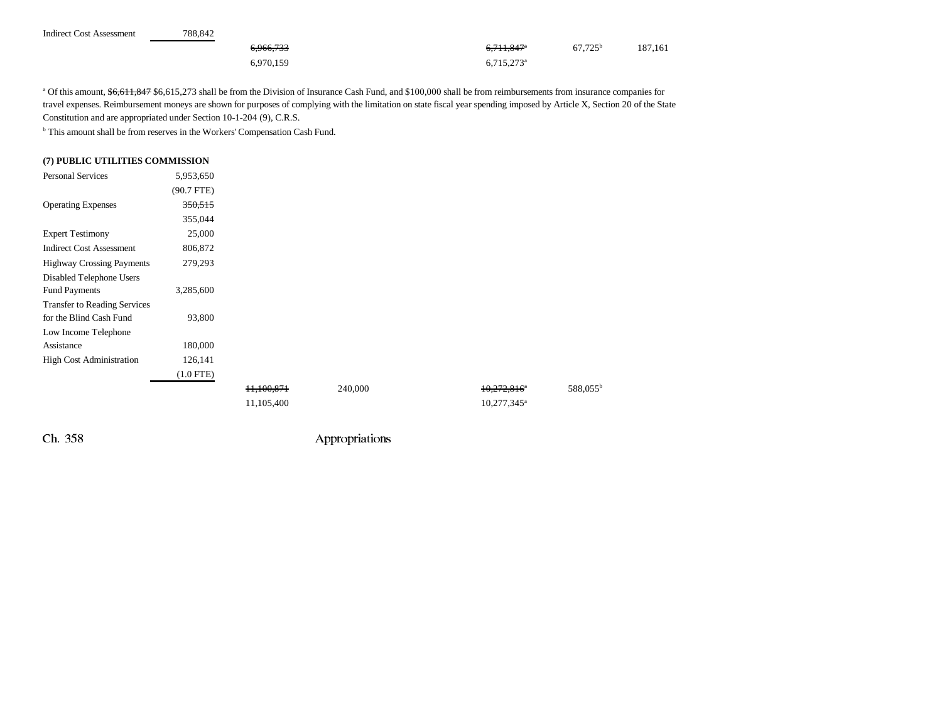| <b>Indirect Cost Assessment</b> | 788.842 |           |                          |                  |         |
|---------------------------------|---------|-----------|--------------------------|------------------|---------|
|                                 |         | 6,966,733 | 6,711,847 <sup>a</sup>   | $67,725^{\rm b}$ | 187,161 |
|                                 |         | 6,970,159 | $6.715.273$ <sup>a</sup> |                  |         |

a Of this amount, \$6,611,847 \$6,615,273 shall be from the Division of Insurance Cash Fund, and \$100,000 shall be from reimbursements from insurance companies for travel expenses. Reimbursement moneys are shown for purposes of complying with the limitation on state fiscal year spending imposed by Article X, Section 20 of the State Constitution and are appropriated under Section 10-1-204 (9), C.R.S.

 $^{\rm b}$  This amount shall be from reserves in the Workers' Compensation Cash Fund.

#### **(7) PUBLIC UTILITIES COMMISSION**

| <b>Personal Services</b>            | 5,953,650   |                       |         |  |
|-------------------------------------|-------------|-----------------------|---------|--|
|                                     | (90.7 FTE)  |                       |         |  |
| <b>Operating Expenses</b>           | 350,515     |                       |         |  |
|                                     | 355,044     |                       |         |  |
| <b>Expert Testimony</b>             | 25,000      |                       |         |  |
| <b>Indirect Cost Assessment</b>     | 806,872     |                       |         |  |
| <b>Highway Crossing Payments</b>    | 279,293     |                       |         |  |
| Disabled Telephone Users            |             |                       |         |  |
| <b>Fund Payments</b>                | 3,285,600   |                       |         |  |
| <b>Transfer to Reading Services</b> |             |                       |         |  |
| for the Blind Cash Fund             | 93,800      |                       |         |  |
| Low Income Telephone                |             |                       |         |  |
| Assistance                          | 180,000     |                       |         |  |
| <b>High Cost Administration</b>     | 126,141     |                       |         |  |
|                                     | $(1.0$ FTE) |                       |         |  |
|                                     |             | <del>11,100,871</del> | 240,000 |  |
|                                     |             | 11,105,400            |         |  |

Ch. 358 Appropriations

 $10,272,816$ <sup>\*</sup> 588,055<sup>b</sup>

 $10,277,345$ <sup>a</sup>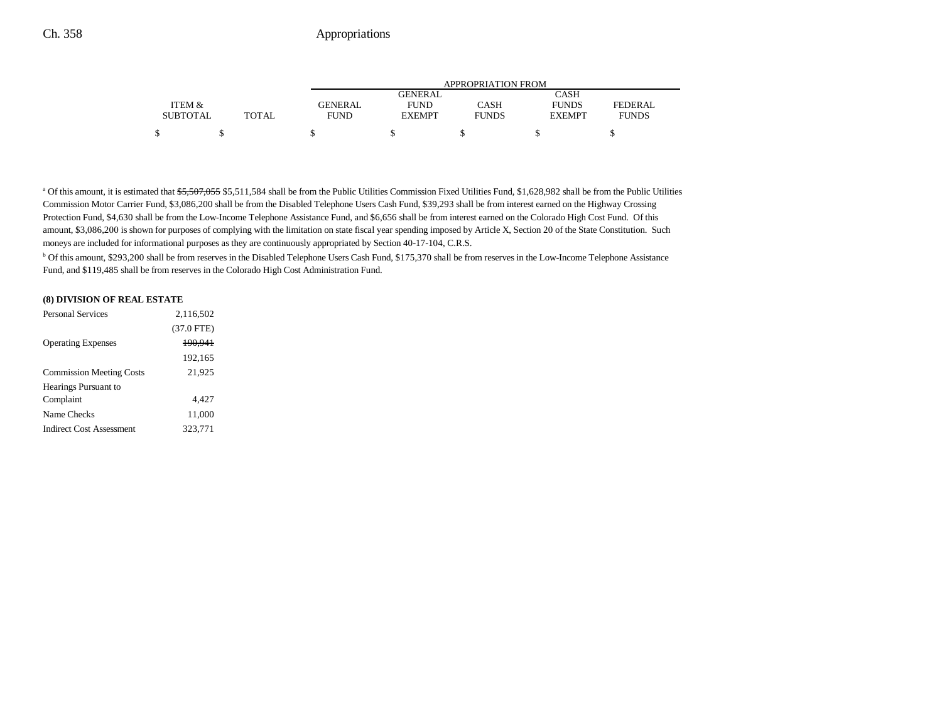|                 |        | APPROPRIATION FROM |               |              |               |              |  |  |
|-----------------|--------|--------------------|---------------|--------------|---------------|--------------|--|--|
|                 |        |                    | GENERAL       |              | CASH          |              |  |  |
| ITEM &          |        | GENERAL            | <b>FUND</b>   | CASH         | <b>FUNDS</b>  | FEDERAL      |  |  |
| <b>SUBTOTAL</b> | TOTAL. | <b>FUND</b>        | <b>EXEMPT</b> | <b>FUNDS</b> | <b>EXEMPT</b> | <b>FUNDS</b> |  |  |
| \$              |        |                    |               |              |               |              |  |  |

<sup>a</sup> Of this amount, it is estimated that \$5,507,055 \$5,511,584 shall be from the Public Utilities Commission Fixed Utilities Fund, \$1,628,982 shall be from the Public Utilities Commission Motor Carrier Fund, \$3,086,200 shall be from the Disabled Telephone Users Cash Fund, \$39,293 shall be from interest earned on the Highway Crossing Protection Fund, \$4,630 shall be from the Low-Income Telephone Assistance Fund, and \$6,656 shall be from interest earned on the Colorado High Cost Fund. Of this amount, \$3,086,200 is shown for purposes of complying with the limitation on state fiscal year spending imposed by Article X, Section 20 of the State Constitution. Such moneys are included for informational purposes as they are continuously appropriated by Section 40-17-104, C.R.S.

b Of this amount, \$293,200 shall be from reserves in the Disabled Telephone Users Cash Fund, \$175,370 shall be from reserves in the Low-Income Telephone Assistance Fund, and \$119,485 shall be from reserves in the Colorado High Cost Administration Fund.

#### **(8) DIVISION OF REAL ESTATE**

| <b>Personal Services</b>        | 2.116.502    |  |
|---------------------------------|--------------|--|
|                                 | $(37.0$ FTE) |  |
| <b>Operating Expenses</b>       | 190.941      |  |
|                                 | 192,165      |  |
| <b>Commission Meeting Costs</b> | 21,925       |  |
| Hearings Pursuant to            |              |  |
| Complaint                       | 4.427        |  |
| Name Checks                     | 11,000       |  |
| <b>Indirect Cost Assessment</b> | 323.771      |  |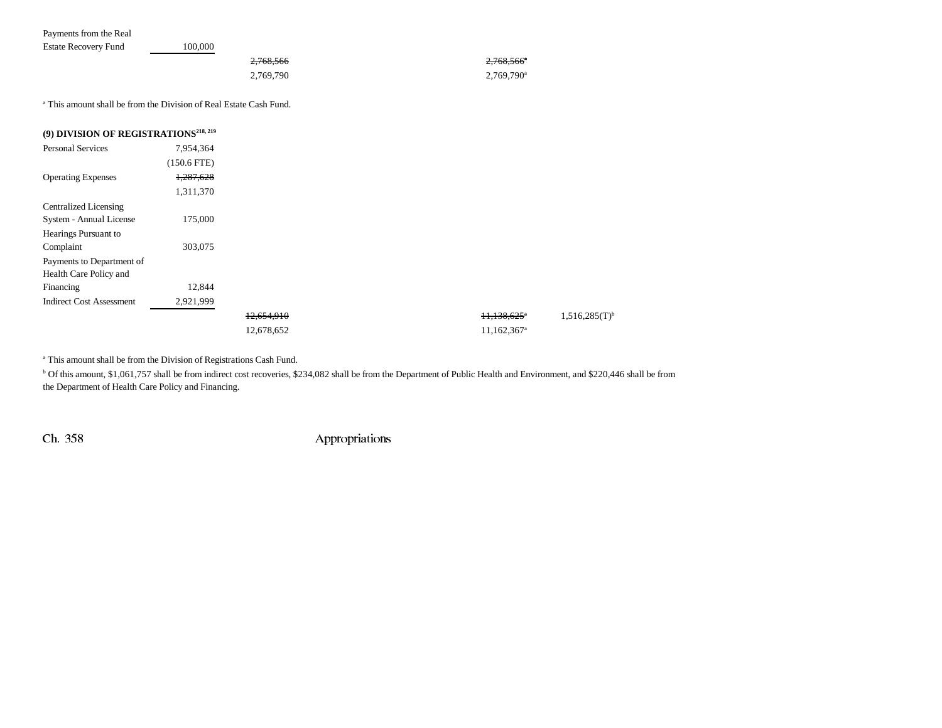| Payments from the Real                                                        |               |           |                          |  |  |
|-------------------------------------------------------------------------------|---------------|-----------|--------------------------|--|--|
| <b>Estate Recovery Fund</b>                                                   | 100,000       |           |                          |  |  |
|                                                                               |               | 2,768,566 | $2,768,566$ <sup>a</sup> |  |  |
|                                                                               |               | 2,769,790 | 2,769,790 <sup>a</sup>   |  |  |
| <sup>a</sup> This amount shall be from the Division of Real Estate Cash Fund. |               |           |                          |  |  |
| (9) DIVISION OF REGISTRATIONS <sup>218, 219</sup>                             |               |           |                          |  |  |
| <b>Personal Services</b>                                                      | 7,954,364     |           |                          |  |  |
|                                                                               | $(150.6$ FTE) |           |                          |  |  |
| <b>Operating Expenses</b>                                                     | 1,287,628     |           |                          |  |  |
|                                                                               | 1,311,370     |           |                          |  |  |
| <b>Centralized Licensing</b>                                                  |               |           |                          |  |  |
| System - Annual License                                                       | 175,000       |           |                          |  |  |
| Hearings Pursuant to                                                          |               |           |                          |  |  |

 $12,654,910$   $11,138,625$ <sup>\*</sup>  $1,516,285(T)^{b}$ 

<sup>a</sup> This amount shall be from the Division of Registrations Cash Fund.

Complaint 303,075

Financing 12,844 Indirect Cost Assessment 2,921,999

Payments to Department of Health Care Policy and

b Of this amount, \$1,061,757 shall be from indirect cost recoveries, \$234,082 shall be from the Department of Public Health and Environment, and \$220,446 shall be from the Department of Health Care Policy and Financing.

12,678,652 11,162,367a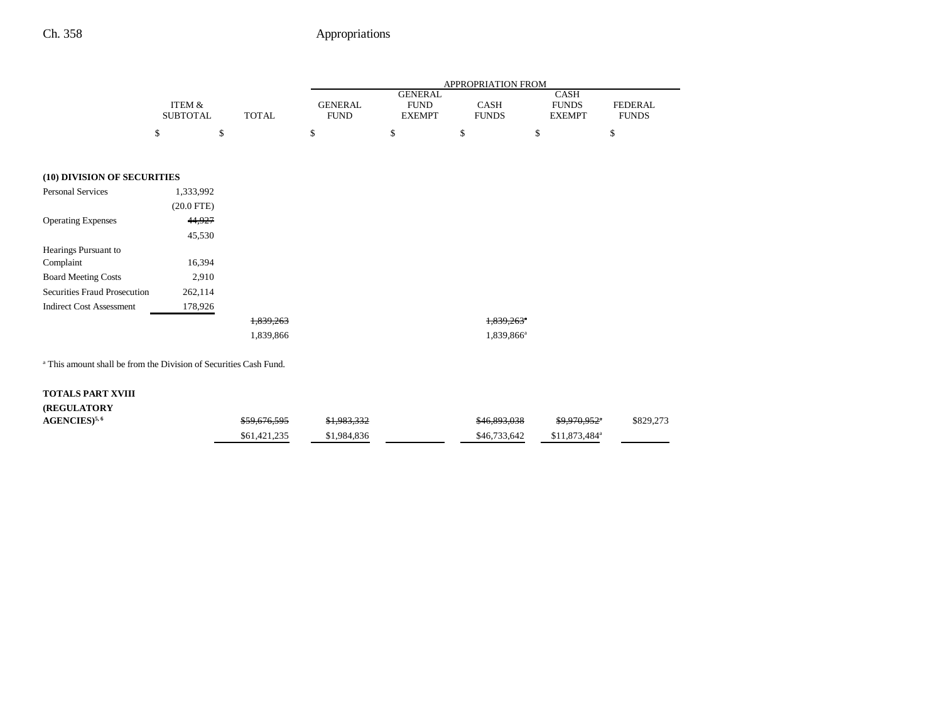|                                                                              |                                      | <b>TOTAL</b> | APPROPRIATION FROM            |                                                |                          |                                              |                                |  |
|------------------------------------------------------------------------------|--------------------------------------|--------------|-------------------------------|------------------------------------------------|--------------------------|----------------------------------------------|--------------------------------|--|
|                                                                              | <b>ITEM &amp;</b><br><b>SUBTOTAL</b> |              | <b>GENERAL</b><br><b>FUND</b> | <b>GENERAL</b><br><b>FUND</b><br><b>EXEMPT</b> | CASH<br><b>FUNDS</b>     | <b>CASH</b><br><b>FUNDS</b><br><b>EXEMPT</b> | <b>FEDERAL</b><br><b>FUNDS</b> |  |
|                                                                              | \$<br>\$                             |              | \$                            | \$                                             | \$                       | \$                                           | \$                             |  |
|                                                                              |                                      |              |                               |                                                |                          |                                              |                                |  |
| (10) DIVISION OF SECURITIES                                                  |                                      |              |                               |                                                |                          |                                              |                                |  |
| <b>Personal Services</b>                                                     | 1,333,992                            |              |                               |                                                |                          |                                              |                                |  |
|                                                                              | $(20.0$ FTE)                         |              |                               |                                                |                          |                                              |                                |  |
| <b>Operating Expenses</b>                                                    | 44,927                               |              |                               |                                                |                          |                                              |                                |  |
|                                                                              | 45,530                               |              |                               |                                                |                          |                                              |                                |  |
| Hearings Pursuant to                                                         |                                      |              |                               |                                                |                          |                                              |                                |  |
| Complaint                                                                    | 16,394                               |              |                               |                                                |                          |                                              |                                |  |
| <b>Board Meeting Costs</b>                                                   | 2,910                                |              |                               |                                                |                          |                                              |                                |  |
| Securities Fraud Prosecution                                                 | 262,114                              |              |                               |                                                |                          |                                              |                                |  |
| <b>Indirect Cost Assessment</b>                                              | 178,926                              |              |                               |                                                |                          |                                              |                                |  |
|                                                                              |                                      | 1,839,263    |                               |                                                | $1,839,263$ <sup>*</sup> |                                              |                                |  |
|                                                                              |                                      | 1,839,866    |                               |                                                | 1,839,866 <sup>a</sup>   |                                              |                                |  |
|                                                                              |                                      |              |                               |                                                |                          |                                              |                                |  |
| <sup>a</sup> This amount shall be from the Division of Securities Cash Fund. |                                      |              |                               |                                                |                          |                                              |                                |  |
| <b>TOTALS PART XVIII</b>                                                     |                                      |              |                               |                                                |                          |                                              |                                |  |
| (REGULATORY                                                                  |                                      |              |                               |                                                |                          |                                              |                                |  |

**AGENCIES**)<sup>5,6</sup> \$59,676,595 \$1,983,332 \$46,893,038 \$9,970,952<sup>\*</sup> \$829,273

 $$61,421,235$   $$1,984,836$   $$46,733,642$   $$11,873,484^a$